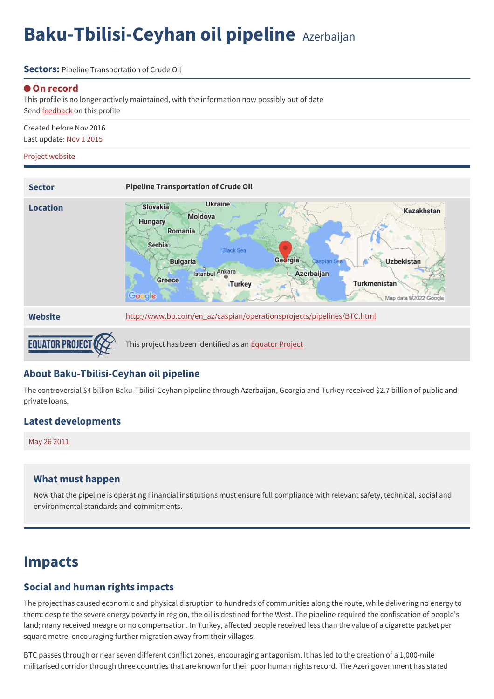# **Baku-Tbilisi-Ceyhan oil pipeline** Azerbaijan

**Sectors:** Pipeline Transportation of Crude Oil

#### **On record**

This profile is no longer actively maintained, with the information now possibly out of date Send [feedback](https://www.banktrack.org/feedback/dodgydeal/baku_tbilisi_ceyhan_oil_pipeline) on this profile

Created before Nov 2016 Last update: Nov 1 2015

#### Project [website](http://www.bp.com/en_az/caspian/operationsprojects/pipelines/BTC.html)



#### **About Baku-Tbilisi-Ceyhan oil pipeline**

The controversial \$4 billion Baku-Tbilisi-Ceyhan pipeline through Azerbaijan, Georgia and Turkey received \$2.7 billion of public and private loans.

#### **Latest developments**

May 26 [2011](javascript:void(0))

#### **What must happen**

Now that the pipeline is operating Financial institutions must ensure full compliance with relevant safety, technical, social and environmental standards and commitments.

### **Impacts**

#### **Social and human rights impacts**

The project has caused economic and physical disruption to hundreds of communities along the route, while delivering no energy to them: despite the severe energy poverty in region, the oil is destined for the West. The pipeline required the confiscation of people's land; many received meagre or no compensation. In Turkey, affected people received less than the value of a cigarette packet per square metre, encouraging further migration away from their villages.

BTC passes through or near seven different conflict zones, encouraging antagonism. It has led to the creation of a 1,000-mile militarised corridor through three countries that are known for their poor human rights record. The Azeri government has stated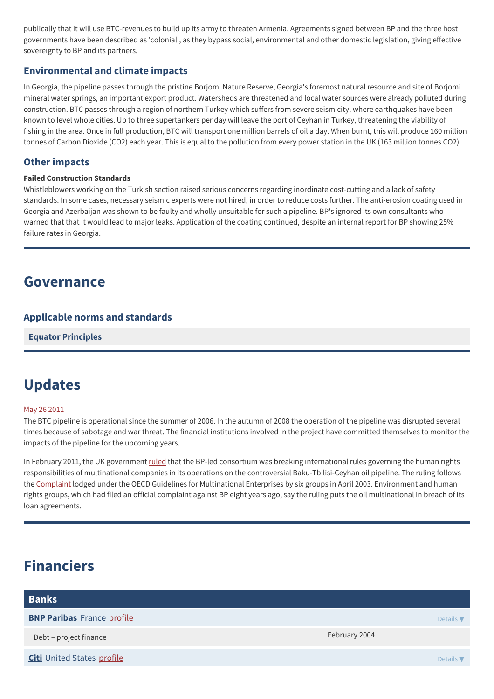publically that it will use BTC-revenues to build up its army to threaten Armenia. Agreements signed between BP and the three host governments have been described as 'colonial', as they bypass social, environmental and other domestic legislation, giving effective sovereignty to BP and its partners.

#### **Environmental and climate impacts**

In Georgia, the pipeline passes through the pristine Borjomi Nature Reserve, Georgia's foremost natural resource and site of Borjomi mineral water springs, an important export product. Watersheds are threatened and local water sources were already polluted during construction. BTC passes through a region of northern Turkey which suffers from severe seismicity, where earthquakes have been known to level whole cities. Up to three supertankers per day will leave the port of Ceyhan in Turkey, threatening the viability of fishing in the area. Once in full production, BTC will transport one million barrels of oil a day. When burnt, this will produce 160 million tonnes of Carbon Dioxide (CO2) each year. This is equal to the pollution from every power station in the UK (163 million tonnes CO2).

#### **Other impacts**

#### **Failed Construction Standards**

Whistleblowers working on the Turkish section raised serious concerns regarding inordinate cost-cutting and a lack of safety standards. In some cases, necessary seismic experts were not hired, in order to reduce costs further. The anti-erosion coating used in Georgia and Azerbaijan was shown to be faulty and wholly unsuitable for such a pipeline. BP's ignored its own consultants who warned that that it would lead to major leaks. Application of the coating continued, despite an internal report for BP showing 25% failure rates in Georgia.

### **Governance**

#### **Applicable norms and standards**

**Equator [Principles](http://www.equator-principles.com)**

### **Updates**

#### May 26 2011

The BTC pipeline is operational since the summer of 2006. In the autumn of 2008 the operation of the pipeline was disrupted several times because of sabotage and war threat. The financial institutions involved in the project have committed themselves to monitor the impacts of the pipeline for the upcoming years.

In February 2011, the UK government [ruled](http://www.bis.gov.uk/assets/biscore/business-sectors/docs/r/11-766-revised-final-statement-ncp-btc.pdf) that the BP-led consortium was breaking international rules governing the human rights responsibilities of multinational companies in its operations on the controversial Baku-Tbilisi-Ceyhan oil pipeline. The ruling follows the [Complaint](http://www.thecornerhouse.org.uk/sites/thecornerhouse.org.uk/files/BTC%20Complaint%2029.4.03.pdf) lodged under the OECD Guidelines for Multinational Enterprises by six groups in April 2003. Environment and human rights groups, which had filed an official complaint against BP eight years ago, say the ruling puts the oil multinational in breach of its loan agreements.

## **Financiers**

| <b>Banks</b>                      |               |                  |
|-----------------------------------|---------------|------------------|
| <b>BNP Paribas</b> France profile |               | Details $\nabla$ |
| Debt - project finance            | February 2004 |                  |
| <b>Citi</b> United States profile |               | Details $\nabla$ |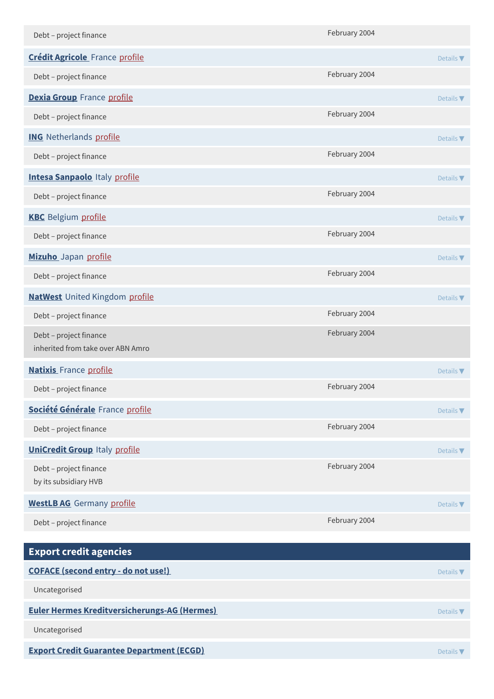| Debt - project finance                                      | February 2004 |                              |
|-------------------------------------------------------------|---------------|------------------------------|
| <b>Crédit Agricole</b> France profile                       |               | Details $\blacktriangledown$ |
| Debt - project finance                                      | February 2004 |                              |
| Dexia Group France profile                                  |               | Details $\blacktriangledown$ |
| Debt - project finance                                      | February 2004 |                              |
| <b>ING</b> Netherlands profile                              |               | Details $\blacktriangledown$ |
| Debt - project finance                                      | February 2004 |                              |
| <b>Intesa Sanpaolo Italy profile</b>                        |               | Details $\blacktriangledown$ |
| Debt - project finance                                      | February 2004 |                              |
| <b>KBC</b> Belgium profile                                  |               | Details $\blacktriangledown$ |
| Debt - project finance                                      | February 2004 |                              |
| Mizuho Japan profile                                        |               | Details $\blacktriangledown$ |
| Debt - project finance                                      | February 2004 |                              |
| <b>NatWest</b> United Kingdom profile                       |               | Details $\blacktriangledown$ |
| Debt - project finance                                      | February 2004 |                              |
| Debt - project finance<br>inherited from take over ABN Amro | February 2004 |                              |
| <b>Natixis</b> France profile                               |               | Details $\blacktriangledown$ |
| Debt - project finance                                      | February 2004 |                              |
| Société Générale France profile                             |               | Details $\nabla$             |
| Debt - project finance                                      | February 2004 |                              |
| <b>UniCredit Group Italy profile</b>                        |               | Details $\blacktriangledown$ |
| Debt - project finance<br>by its subsidiary HVB             | February 2004 |                              |
| <b>WestLB AG</b> Germany profile                            |               | Details $\nabla$             |
| Debt - project finance                                      | February 2004 |                              |
| <b>Export credit agencies</b>                               |               |                              |
| <b>COFACE (second entry - do not use!)</b>                  |               | Details $\nabla$             |
| Uncategorised                                               |               |                              |
| <b>Euler Hermes Kreditversicherungs-AG (Hermes)</b>         |               | Details $\nabla$             |

Uncategorised

**Export Credit Guarantee [Department](http:) (ECGD)** Details ▼